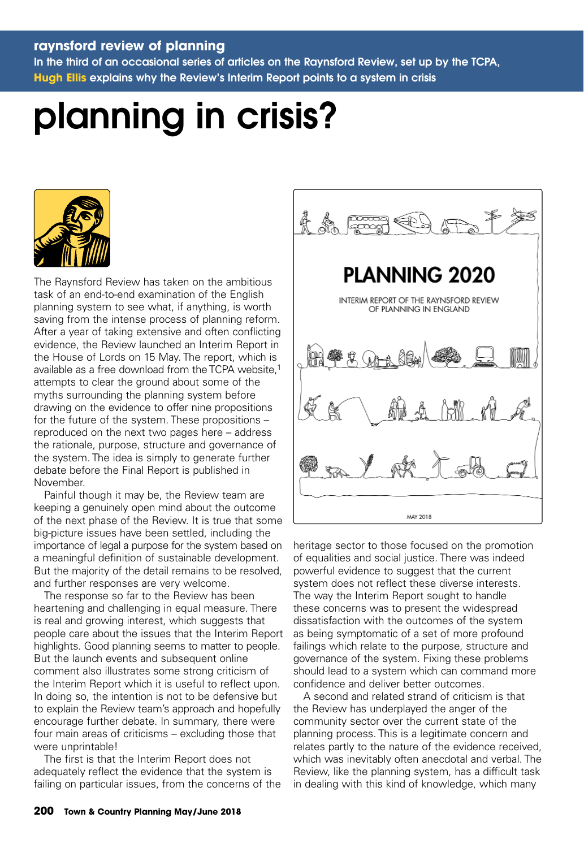### **raynsford review of planning**

**In the third of an occasional series of articles on the Raynsford Review, set up by the TCPA, Hugh Ellis explains why the Review's Interim Report points to a system in crisis**

# **planning in crisis?**



The Raynsford Review has taken on the ambitious task of an end-to-end examination of the English planning system to see what, if anything, is worth saving from the intense process of planning reform. After a year of taking extensive and often conflicting evidence, the Review launched an Interim Report in the House of Lords on 15 May. The report, which is available as a free download from the TCPA website.<sup>1</sup> attempts to clear the ground about some of the myths surrounding the planning system before drawing on the evidence to offer nine propositions for the future of the system. These propositions – reproduced on the next two pages here – address the rationale, purpose, structure and governance of the system. The idea is simply to generate further debate before the Final Report is published in November.

Painful though it may be, the Review team are keeping a genuinely open mind about the outcome of the next phase of the Review. It is true that some big-picture issues have been settled, including the importance of legal a purpose for the system based on a meaningful definition of sustainable development. But the majority of the detail remains to be resolved, and further responses are very welcome.

The response so far to the Review has been heartening and challenging in equal measure. There is real and growing interest, which suggests that people care about the issues that the Interim Report highlights. Good planning seems to matter to people. But the launch events and subsequent online comment also illustrates some strong criticism of the Interim Report which it is useful to reflect upon. In doing so, the intention is not to be defensive but to explain the Review team's approach and hopefully encourage further debate. In summary, there were four main areas of criticisms – excluding those that were unprintable!

The first is that the Interim Report does not adequately reflect the evidence that the system is failing on particular issues, from the concerns of the



heritage sector to those focused on the promotion of equalities and social justice. There was indeed powerful evidence to suggest that the current system does not reflect these diverse interests. The way the Interim Report sought to handle these concerns was to present the widespread dissatisfaction with the outcomes of the system as being symptomatic of a set of more profound failings which relate to the purpose, structure and governance of the system. Fixing these problems should lead to a system which can command more confidence and deliver better outcomes.

A second and related strand of criticism is that the Review has underplayed the anger of the community sector over the current state of the planning process. This is a legitimate concern and relates partly to the nature of the evidence received, which was inevitably often anecdotal and verbal. The Review, like the planning system, has a difficult task in dealing with this kind of knowledge, which many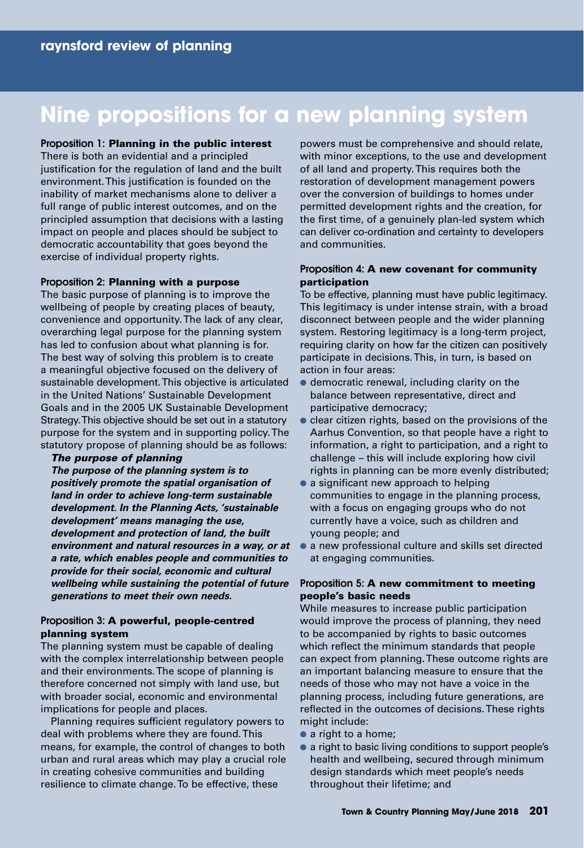## **Nine propositions for a new planning system**

#### **Proposition 1: Planning in the public interest**

There is both an evidential and a principled justification for the regulation of land and the built environment. This justification is founded on the inability of market mechanisms alone to deliver a full range of public interest outcomes, and on the principled assumption that decisions with a lasting impact on people and places should be subject to democratic accountability that goes beyond the exercise of individual property rights.

#### **Proposition 2: Planning with a purpose**

The basic purpose of planning is to improve the wellbeing of people by creating places of beauty, convenience and opportunity. The lack of any clear, overarching legal purpose for the planning system has led to confusion about what planning is for. The best way of solving this problem is to create a meaningful objective focused on the delivery of sustainable development. This objective is articulated in the United Nations' Sustainable Development Goals and in the 2005 UK Sustainable Development Strategy. This objective should be set out in a statutory purpose for the system and in supporting policy. The statutory propose of planning should be as follows:

#### **The purpose of planning**

**The purpose of the planning system is to positively promote the spatial organisation of land in order to achieve long-term sustainable development. In the Planning Acts, 'sustainable development' means managing the use, development and protection of land, the built environment and natural resources in a way, or at a rate, which enables people and communities to provide for their social, economic and cultural wellbeing while sustaining the potential of future generations to meet their own needs.**

#### **Proposition 3: A powerful, people-centred planning system**

The planning system must be capable of dealing with the complex interrelationship between people and their environments. The scope of planning is therefore concerned not simply with land use, but with broader social, economic and environmental implications for people and places.

Planning requires sufficient regulatory powers to deal with problems where they are found. This means, for example, the control of changes to both urban and rural areas which may play a crucial role in creating cohesive communities and building resilience to climate change. To be effective, these

powers must be comprehensive and should relate, with minor exceptions, to the use and development of all land and property. This requires both the restoration of development management powers over the conversion of buildings to homes under permitted development rights and the creation, for the first time, of a genuinely plan-led system which can deliver co-ordination and certainty to developers and communities.

#### **Proposition 4: A new covenant for community participation**

To be effective, planning must have public legitimacy. This legitimacy is under intense strain, with a broad disconnect between people and the wider planning system. Restoring legitimacy is a long-term project, requiring clarity on how far the citizen can positively participate in decisions. This, in turn, is based on action in four areas:

- democratic renewal, including clarity on the balance between representative, direct and participative democracy;
- clear citizen rights, based on the provisions of the Aarhus Convention, so that people have a right to information, a right to participation, and a right to challenge – this will include exploring how civil rights in planning can be more evenly distributed;
- a significant new approach to helping communities to engage in the planning process, with a focus on engaging groups who do not currently have a voice, such as children and young people; and
- a new professional culture and skills set directed at engaging communities.

#### **Proposition 5: A new commitment to meeting people's basic needs**

While measures to increase public participation would improve the process of planning, they need to be accompanied by rights to basic outcomes which reflect the minimum standards that people can expect from planning. These outcome rights are an important balancing measure to ensure that the needs of those who may not have a voice in the planning process, including future generations, are reflected in the outcomes of decisions. These rights might include:

- a right to a home;
- a right to basic living conditions to support people's health and wellbeing, secured through minimum design standards which meet people's needs throughout their lifetime; and